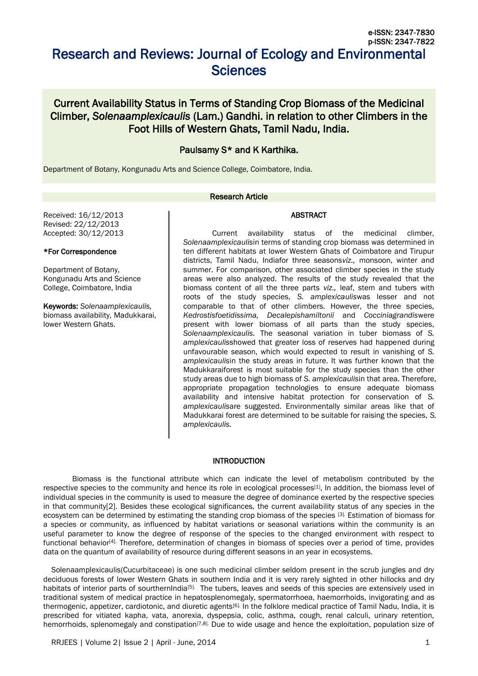# Research and Reviews: Journal of Ecology and Environmental **Sciences**

# Current Availability Status in Terms of Standing Crop Biomass of the Medicinal Climber, *Solenaamplexicaulis* (Lam.) Gandhi. in relation to other Climbers in the Foot Hills of Western Ghats, Tamil Nadu, India.

# Paulsamy S\* and K Karthika.

Department of Botany, Kongunadu Arts and Science College, Coimbatore, India.

#### Research Article

Received: 16/12/2013 Revised: 22/12/2013 Accepted: 30/12/2013

# \*For Correspondence

Department of Botany, Kongunadu Arts and Science College, Coimbatore, India

Keywords: *Solenaamplexicaulis,*  biomass availability, Madukkarai, lower Western Ghats.

Current availability status of the medicinal climber, *Solenaamplexicaulis*in terms of standing crop biomass was determined in ten different habitats at lower Western Ghats of Coimbatore and Tirupur districts, Tamil Nadu, Indiafor three seasons*viz.,* monsoon, winter and summer. For comparison, other associated climber species in the study areas were also analyzed. The results of the study revealed that the biomass content of all the three parts *viz.,* leaf, stem and tubers with roots of the study species, *S. amplexicaulis*was lesser and not comparable to that of other climbers. However, the three species, *Kedrostisfoetidissima, Decalepishamiltonii* and *Cocciniagrandis*were present with lower biomass of all parts than the study species, *Solenaamplexicaulis.* The seasonal variation in tuber biomass of *S. amplexicaulis*showed that greater loss of reserves had happened during unfavourable season, which would expected to result in vanishing of *S. amplexicaulis*in the study areas in future. It was further known that the Madukkaraiforest is most suitable for the study species than the other study areas due to high biomass of *S. amplexicaulis*in that area. Therefore, appropriate propagation technologies to ensure adequate biomass availability and intensive habitat protection for conservation of *S. amplexicaulis*are suggested. Environmentally similar areas like that of Madukkarai forest are determined to be suitable for raising the species, *S.* 

**ABSTRACT** 

# **INTRODUCTION**

*amplexicaulis.*

Biomass is the functional attribute which can indicate the level of metabolism contributed by the respective species to the community and hence its role in ecological processes<sup>[1]</sup>. In addition, the biomass level of individual species in the community is used to measure the degree of dominance exerted by the respective species in that community[2]. Besides these ecological significances, the current availability status of any species in the ecosystem can be determined by estimating the standing crop biomass of the species [3]. Estimation of biomass for a species or community, as influenced by habitat variations or seasonal variations within the community is an useful parameter to know the degree of response of the species to the changed environment with respect to functional behavior<sup>[4]</sup>. Therefore, determination of changes in biomass of species over a period of time, provides data on the quantum of availability of resource during different seasons in an year in ecosystems.

Solenaamplexicaulis(Cucurbitaceae) is one such medicinal climber seldom present in the scrub jungles and dry deciduous forests of lower Western Ghats in southern India and it is very rarely sighted in other hillocks and dry habitats of interior parts of sourthernIndia<sup>[5].</sup> The tubers, leaves and seeds of this species are extensively used in traditional system of medical practice in hepatosplenomegaly, spermatorrhoea, haemorrhoids, invigorating and as thermogenic, appetizer, cardiotonic, and diuretic agents<sup>[6].</sup> In the folklore medical practice of Tamil Nadu, India, it is prescribed for vitiated kapha, vata, anorexia, dyspepsia, colic, asthma, cough, renal calculi, urinary retention, hemorrhoids, splenomegaly and constipation<sup>[7,8].</sup> Due to wide usage and hence the exploitation, population size of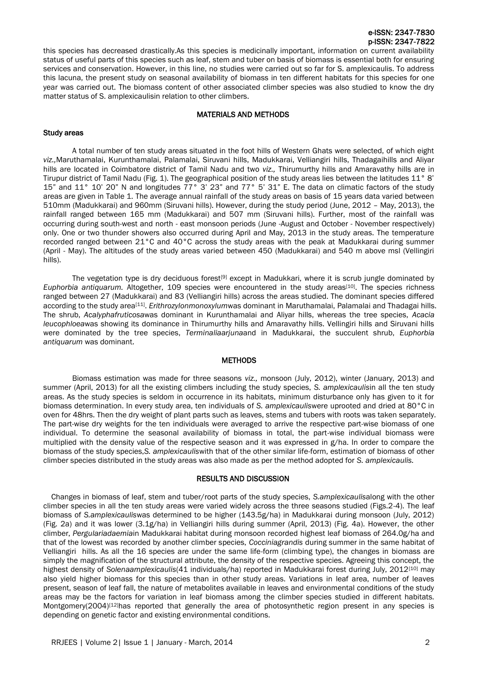# e-ISSN: 2347-7830 p-ISSN: 2347-7822

this species has decreased drastically.As this species is medicinally important, information on current availability status of useful parts of this species such as leaf, stem and tuber on basis of biomass is essential both for ensuring services and conservation. However, in this line, no studies were carried out so far for S. amplexicaulis. To address this lacuna, the present study on seasonal availability of biomass in ten different habitats for this species for one year was carried out. The biomass content of other associated climber species was also studied to know the dry matter status of S. amplexicaulisin relation to other climbers.

#### MATERIALS AND METHODS

#### Study areas

A total number of ten study areas situated in the foot hills of Western Ghats were selected, of which eight *viz.,*Maruthamalai, Kurunthamalai, Palamalai, Siruvani hills, Madukkarai, Velliangiri hills, Thadagaihills and Aliyar hills are located in Coimbatore district of Tamil Nadu and two *viz.,* Thirumurthy hills and Amaravathy hills are in Tirupur district of Tamil Nadu (Fig. 1). The geographical position of the study areas lies between the latitudes 11° 8' 15" and 11° 10' 20" N and longitudes 77° 3' 23" and 77° 5' 31" E. The data on climatic factors of the study areas are given in Table 1. The average annual rainfall of the study areas on basis of 15 years data varied between 510mm (Madukkarai) and 960mm (Siruvani hills). However, during the study period (June, 2012 – May, 2013), the rainfall ranged between 165 mm (Madukkarai) and 507 mm (Siruvani hills). Further, most of the rainfall was occurring during south-west and north - east monsoon periods (June -August and October - November respectively) only. One or two thunder showers also occurred during April and May, 2013 in the study areas. The temperature recorded ranged between 21°C and 40°C across the study areas with the peak at Madukkarai during summer (April - May). The altitudes of the study areas varied between 450 (Madukkarai) and 540 m above msl (Vellingiri hills).

The vegetation type is dry deciduous forest<sup>[9]</sup> except in Madukkari, where it is scrub jungle dominated by *Euphorbia antiquarum.* Altogether, 109 species were encountered in the study areas<sup>[10]</sup>. The species richness ranged between 27 (Madukkarai) and 83 (Velliangiri hills) across the areas studied. The dominant species differed according to the study area[11] . *Erithrozylonmonoxylum*was dominant in Maruthamalai, Palamalai and Thadagai hills. The shrub, *Acalyphafruticosa*was dominant in Kurunthamalai and Aliyar hills, whereas the tree species, *Acacia leucophloea*was showing its dominance in Thirumurthy hills and Amaravathy hills. Vellingiri hills and Siruvani hills were dominated by the tree species, *Terminaliaarjuna*and in Madukkarai, the succulent shrub, *Euphorbia antiquarum* was dominant.

#### **METHODS**

Biomass estimation was made for three seasons *viz.,* monsoon (July, 2012), winter (January, 2013) and summer (April, 2013) for all the existing climbers including the study species, *S. amplexicaulis*in all the ten study areas. As the study species is seldom in occurrence in its habitats, minimum disturbance only has given to it for biomass determination. In every study area, ten individuals of *S. amplexicaulis*were uprooted and dried at 80°C in oven for 48hrs. Then the dry weight of plant parts such as leaves, stems and tubers with roots was taken separately. The part-wise dry weights for the ten individuals were averaged to arrive the respective part-wise biomass of one individual. To determine the seasonal availability of biomass in total, the part-wise individual biomass were multiplied with the density value of the respective season and it was expressed in g/ha. In order to compare the biomass of the study species,*S. amplexicaulis*with that of the other similar life-form, estimation of biomass of other climber species distributed in the study areas was also made as per the method adopted for *S. amplexicaulis.*

# RESULTS AND DISCUSSION

Changes in biomass of leaf, stem and tuber/root parts of the study species, *S.amplexicaulis*along with the other climber species in all the ten study areas were varied widely across the three seasons studied (Figs.2-4). The leaf biomass of *S.amplexicaulis*was determined to be higher (143.5g/ha) in Madukkarai during monsoon (July, 2012) (Fig. 2a) and it was lower (3.1g/ha) in Velliangiri hills during summer (April, 2013) (Fig. 4a). However, the other climber, *Pergulariadaemia*in Madukkarai habitat during monsoon recorded highest leaf biomass of 264.0g/ha and that of the lowest was recorded by another climber species, *Cocciniagrandis* during summer in the same habitat of Velliangiri hills. As all the 16 species are under the same life-form (climbing type), the changes in biomass are simply the magnification of the structural attribute, the density of the respective species. Agreeing this concept, the highest density of *Solenaamplexicaulis*(41 individuals/ha) reported in Madukkarai forest during July, 2012[10] may also yield higher biomass for this species than in other study areas. Variations in leaf area, number of leaves present, season of leaf fall, the nature of metabolites available in leaves and environmental conditions of the study areas may be the factors for variation in leaf biomass among the climber species studied in different habitats. Montgomery(2004)<sup>[12]</sup>has reported that generally the area of photosynthetic region present in any species is depending on genetic factor and existing environmental conditions.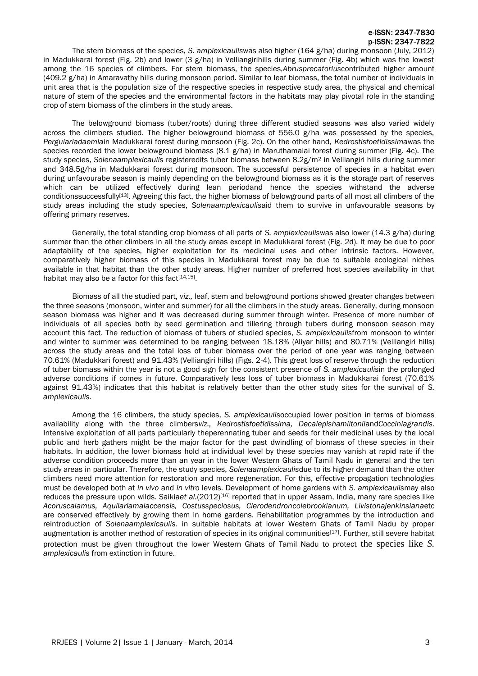# e-ISSN: 2347-7830 p-ISSN: 2347-7822

The stem biomass of the species, *S. amplexicaulis*was also higher (164 g/ha) during monsoon (July, 2012) in Madukkarai forest (Fig. 2b) and lower (3  $g/ha$ ) in Velliangirihills during summer (Fig. 4b) which was the lowest among the 16 species of climbers. For stem biomass, the species,*Abrusprecatorius*contributed higher amount (409.2 g/ha) in Amaravathy hills during monsoon period. Similar to leaf biomass, the total number of individuals in unit area that is the population size of the respective species in respective study area, the physical and chemical nature of stem of the species and the environmental factors in the habitats may play pivotal role in the standing crop of stem biomass of the climbers in the study areas.

The belowground biomass (tuber/roots) during three different studied seasons was also varied widely across the climbers studied. The higher belowground biomass of 556.0  $g/ha$  was possessed by the species, *Pergulariadaemia*in Madukkarai forest during monsoon (Fig. 2c). On the other hand, *Kedrostisfoetidissima*was the species recorded the lower belowground biomass (8.1 g/ha) in Maruthamalai forest during summer (Fig. 4c). The study species, *Solenaamplexicaulis* registeredits tuber biomass between 8.2g/m<sup>2</sup> in Velliangiri hills during summer and 348.5g/ha in Madukkarai forest during monsoon. The successful persistence of species in a habitat even during unfavourabe season is mainly depending on the belowground biomass as it is the storage part of reserves which can be utilized effectively during lean periodand hence the species withstand the adverse conditionssuccessfully<sup>[13]</sup>. Agreeing this fact, the higher biomass of belowground parts of all most all climbers of the study areas including the study species, *Solenaamplexicaulis*aid them to survive in unfavourable seasons by offering primary reserves.

Generally, the total standing crop biomass of all parts of *S. amplexicaulis*was also lower (14.3 g/ha) during summer than the other climbers in all the study areas except in Madukkarai forest (Fig. 2d). It may be due to poor adaptability of the species, higher exploitation for its medicinal uses and other intrinsic factors. However, comparatively higher biomass of this species in Madukkarai forest may be due to suitable ecological niches available in that habitat than the other study areas. Higher number of preferred host species availability in that habitat may also be a factor for this fact<sup>[14,15]</sup>.

Biomass of all the studied part, *viz.,* leaf, stem and belowground portions showed greater changes between the three seasons (monsoon, winter and summer) for all the climbers in the study areas. Generally, during monsoon season biomass was higher and it was decreased during summer through winter. Presence of more number of individuals of all species both by seed germination and tillering through tubers during monsoon season may account this fact. The reduction of biomass of tubers of studied species, *S. amplexicaulis*from monsoon to winter and winter to summer was determined to be ranging between 18.18% (Aliyar hills) and 80.71% (Velliangiri hills) across the study areas and the total loss of tuber biomass over the period of one year was ranging between 70.61% (Madukkari forest) and 91.43% (Velliangiri hills) (Figs. 2-4). This great loss of reserve through the reduction of tuber biomass within the year is not a good sign for the consistent presence of *S. amplexicaulis*in the prolonged adverse conditions if comes in future. Comparatively less loss of tuber biomass in Madukkarai forest (70.61% against 91.43%) indicates that this habitat is relatively better than the other study sites for the survival of *S. amplexicaulis.*

Among the 16 climbers, the study species, *S. amplexicaulis*occupied lower position in terms of biomass availability along with the three climbers*viz., Kedrostisfoetidissima, Decalepishamiltonii*and*Cocciniagrandis.*  Intensive exploitation of all parts particularly theperennating tuber and seeds for their medicinal uses by the local public and herb gathers might be the major factor for the past dwindling of biomass of these species in their habitats. In addition, the lower biomass hold at individual level by these species may vanish at rapid rate if the adverse condition proceeds more than an year in the lower Western Ghats of Tamil Nadu in general and the ten study areas in particular. Therefore, the study species, *Solenaamplexicaulis*due to its higher demand than the other climbers need more attention for restoration and more regeneration. For this, effective propagation technologies must be developed both at *in vivo* and *in vitro* levels. Development of home gardens with *S. amplexicaulis*may also reduces the pressure upon wilds. Saikiaet al.(2012)<sup>[16]</sup> reported that in upper Assam, India, many rare species like *Acoruscalamus, Aquilariamalaccensis, Costusspeciosus, Clerodendroncolebrookianum, Livistonajenkinsiana*etc are conserved effectively by growing them in home gardens. Rehabilitation programmes by the introduction and reintroduction of *Solenaamplexicaulis.* in suitable habitats at lower Western Ghats of Tamil Nadu by proper augmentation is another method of restoration of species in its original communities<sup>[17]</sup>. Further, still severe habitat protection must be given throughout the lower Western Ghats of Tamil Nadu to protect the species like *S. amplexicaulis* from extinction in future.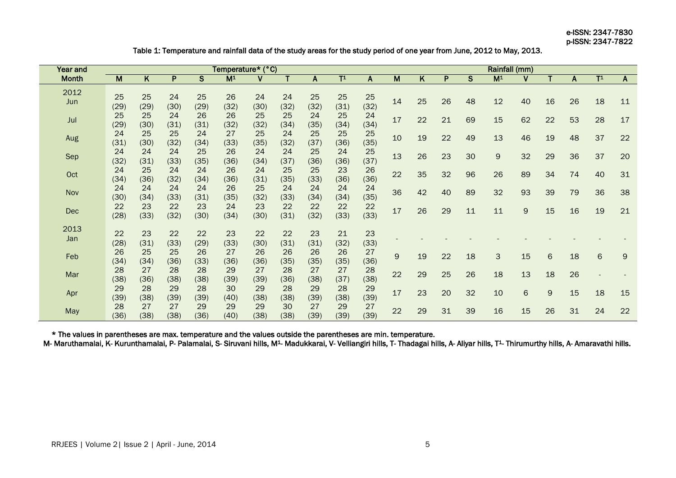e-ISSN: 2347-7830 p-ISSN: 2347-7822

Table 1: Temperature and rainfall data of the study areas for the study period of one year from June, 2012 to May, 2013.

| Year and     | Temperature* (°C) |            |            |            |                           |            |            |            |                |            |    |    | Rainfall (mm) |    |                           |    |    |    |                           |              |  |
|--------------|-------------------|------------|------------|------------|---------------------------|------------|------------|------------|----------------|------------|----|----|---------------|----|---------------------------|----|----|----|---------------------------|--------------|--|
| <b>Month</b> | M                 | K          | P          | S          | $\overline{\mathsf{M}^1}$ |            | т          | A          | T <sup>1</sup> | A          | M  | K  | P             | S  | $\overline{\mathsf{M}^1}$ |    |    | A  | $\overline{\mathsf{T}^1}$ | A            |  |
| 2012<br>Jun  | 25<br>(29)        | 25<br>(29) | 24<br>(30) | 25<br>(29) | 26<br>(32)                | 24<br>(30) | 24<br>(32) | 25<br>(32) | 25<br>(31)     | 25<br>(32) | 14 | 25 | 26            | 48 | 12                        | 40 | 16 | 26 | 18                        | 11           |  |
| Jul          | 25<br>(29)        | 25<br>(30) | 24<br>(31) | 26<br>(31) | 26<br>(32)                | 25<br>(32) | 25<br>(34) | 24<br>(35) | 25<br>(34)     | 24<br>(34) | 17 | 22 | 21            | 69 | 15                        | 62 | 22 | 53 | 28                        | 17           |  |
| Aug          | 24<br>(31)        | 25<br>(30) | 25<br>(32) | 24<br>(34) | 27<br>(33)                | 25<br>(35) | 24<br>(32) | 25<br>(37) | 25<br>(36)     | 25<br>(35) | 10 | 19 | 22            | 49 | 13                        | 46 | 19 | 48 | 37                        | 22           |  |
| Sep          | 24<br>(32)        | 24<br>(31) | 24<br>(33) | 25<br>(35) | 26<br>(36)                | 24<br>(34) | 24<br>(37) | 25<br>(36) | 24<br>(36)     | 25<br>(37) | 13 | 26 | 23            | 30 | 9                         | 32 | 29 | 36 | 37                        | 20           |  |
| Oct          | 24<br>(34)        | 25<br>(36) | 24<br>(32) | 24<br>(34) | 26<br>(36)                | 24<br>(31) | 25<br>(35) | 25<br>(33) | 23<br>(36)     | 26<br>(36) | 22 | 35 | 32            | 96 | 26                        | 89 | 34 | 74 | 40                        | 31           |  |
| Nov          | 24<br>(30)        | 24<br>(34) | 24<br>(33) | 24<br>(31) | 26<br>(35)                | 25<br>(32) | 24<br>(33) | 24<br>(34) | 24<br>(34)     | 24<br>(35) | 36 | 42 | 40            | 89 | 32                        | 93 | 39 | 79 | 36                        | 38           |  |
| Dec          | 22<br>(28)        | 23<br>(33) | 22<br>(32) | 23<br>(30) | 24<br>(34)                | 23<br>(30) | 22<br>(31) | 22<br>(32) | 22<br>(33)     | 22<br>(33) | 17 | 26 | 29            | 11 | 11                        | 9  | 15 | 16 | 19                        | 21           |  |
| 2013<br>Jan  | 22<br>(28)        | 23<br>(31) | 22<br>(33) | 22<br>(29) | 23<br>(33)                | 22<br>(30) | 22<br>(31) | 23<br>(31) | 21<br>(32)     | 23<br>(33) |    |    |               |    |                           |    |    |    |                           |              |  |
| Feb          | 26<br>(34)        | 25<br>(34) | 25<br>(36) | 26<br>(33) | 27<br>(36)                | 26<br>(36) | 26<br>(35) | 26<br>(35) | 26<br>(35)     | 27<br>(36) | 9  | 19 | 22            | 18 | 3                         | 15 | 6  | 18 | 6                         | $\mathsf{9}$ |  |
| Mar          | 28<br>(38)        | 27<br>(36) | 28<br>(38) | 28<br>(38) | 29<br>(39)                | 27<br>(39) | 28<br>(36) | 27<br>(38) | 27<br>(37)     | 28<br>(38) | 22 | 29 | 25            | 26 | 18                        | 13 | 18 | 26 |                           |              |  |
| Apr          | 29<br>(39)        | 28<br>(38) | 29<br>(39) | 28<br>(39) | 30<br>(40)                | 29<br>(38) | 28<br>(38) | 29<br>(39) | 28<br>(38)     | 29<br>(39) | 17 | 23 | 20            | 32 | 10                        | 6  | 9  | 15 | 18                        | 15           |  |
| May          | 28<br>(36)        | 27<br>(38) | 27<br>(38) | 29<br>(36) | 29<br>(40)                | 29<br>(38) | 30<br>(38) | 27<br>(39) | 29<br>(39)     | 27<br>(39) | 22 | 29 | 31            | 39 | 16                        | 15 | 26 | 31 | 24                        | 22           |  |

\* The values in parentheses are max. temperature and the values outside the parentheses are min. temperature.

M- Maruthamalai, K- Kurunthamalai, P- Palamalai, S- Siruvani hills, M<sup>1</sup>- Madukkarai, V- Velliangiri hills, T- Thadagai hills, A- Aliyar hills, T<sup>1</sup>- Thirumurthy hills, A- Amaravathi hills.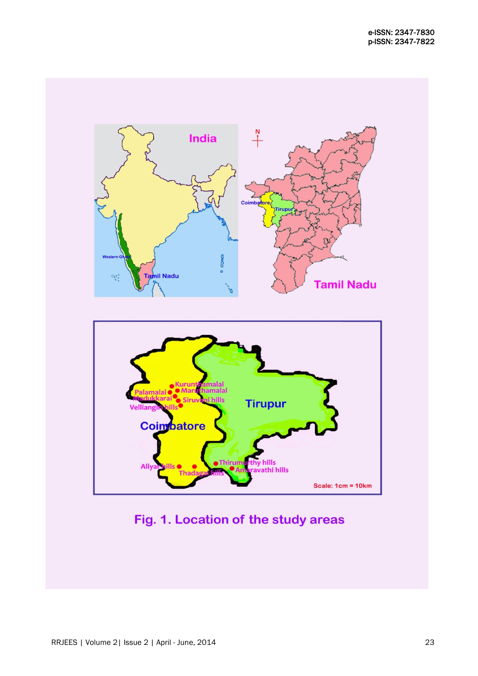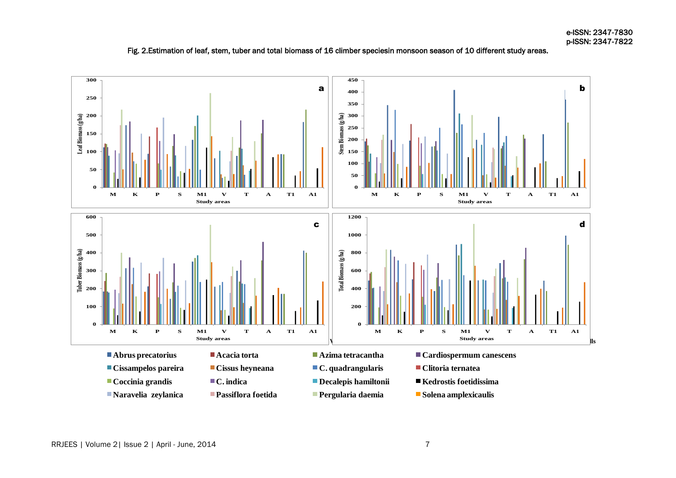![](_page_5_Figure_1.jpeg)

![](_page_5_Figure_2.jpeg)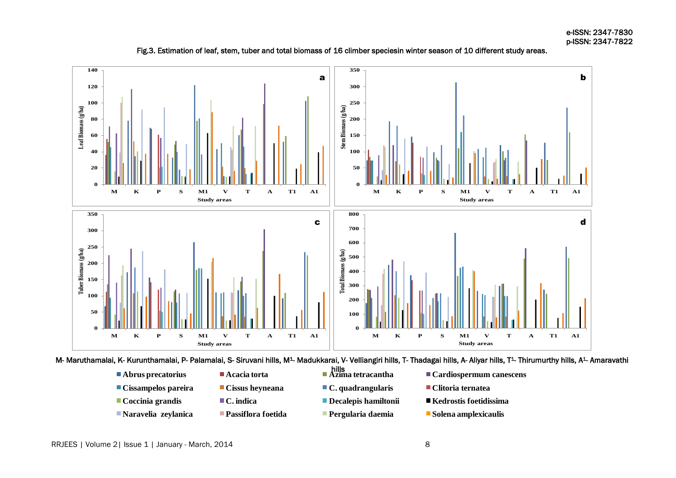![](_page_6_Figure_1.jpeg)

# Fig.3. Estimation of leaf, stem, tuber and total biomass of 16 climber speciesin winter season of 10 different study areas.

**Study areas** M- Maruthamalai, K- Kurunthamalai, P- Palamalai, S- Siruvani hills, M1- Madukkarai, V- Velliangiri hills, T- Thadagai hills, A- Aliyar hills, T1- Thirumurthy hills, A1- Amaravathi

- **Cissampelos pareira Cissus heyneana C. quadrangularis Clitoria ternatea Coccinia grandis C. indica Decalepis hamiltonii Kedrostis foetidissima**
	-
	-
	-
- **Naravelia zeylanica Passiflora foetida Pergularia daemia** Solena amplexicaulis
- 
- -
- hills  $\overline{a}$
- 
- 
- ٔ
- **Pergularia daemia**
- **Abrus precatorius Acacia torta Azima tetracantha Cardiospermum canescens** 
	-
	-
	-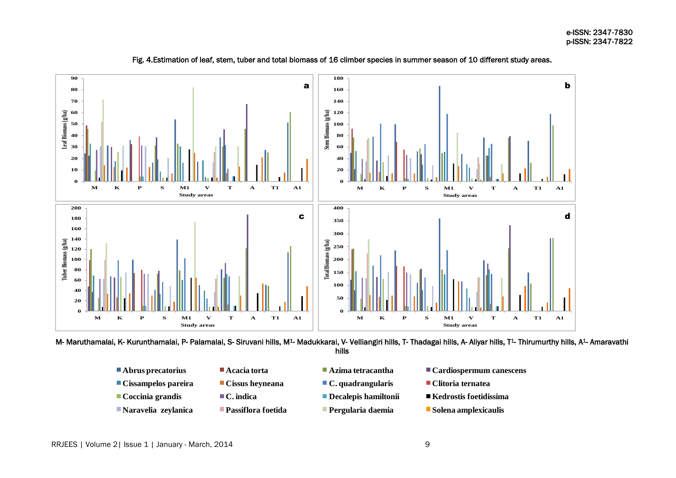![](_page_7_Figure_1.jpeg)

Fig. 4.Estimation of leaf, stem, tuber and total biomass of 16 climber species in summer season of 10 different study areas.

**Study areas** hills

- 
- -
	-
- -
- -
- **Abrus precatorius Acacia torta Azima tetracantha Cardiospermum canescens**
- **Cissampelos pareira Cissus heyneana C. quadrangularis Clitoria ternatea**
- Coccinia grandis C. indica Decalepis hamiltonii Kedrostis foetidissima
- **Naravelia zeylanica Passiflora foetida Pergularia daemia** Solena amplexicaulis